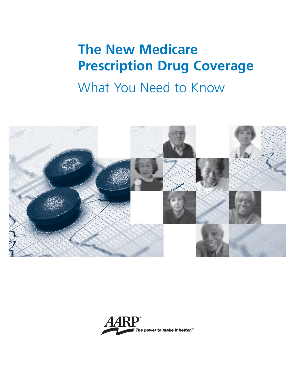# **The New Medicare Prescription Drug Coverage**

## What You Need to Know



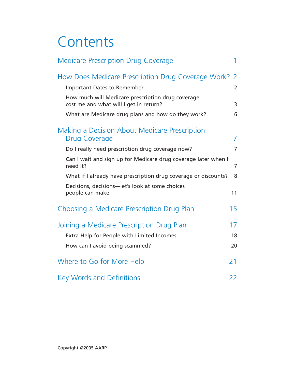# **Contents**

| <b>Medicare Prescription Drug Coverage</b>                                                                                | 1              |
|---------------------------------------------------------------------------------------------------------------------------|----------------|
| How Does Medicare Prescription Drug Coverage Work?                                                                        | 2              |
| <b>Important Dates to Remember</b>                                                                                        | $\overline{2}$ |
| How much will Medicare prescription drug coverage<br>cost me and what will I get in return?                               | 3              |
| What are Medicare drug plans and how do they work?                                                                        | 6              |
| Making a Decision About Medicare Prescription<br><b>Drug Coverage</b>                                                     | 7              |
| Do I really need prescription drug coverage now?                                                                          | $\overline{7}$ |
| Can I wait and sign up for Medicare drug coverage later when I<br>need it?                                                | 7              |
| What if I already have prescription drug coverage or discounts?                                                           | 8              |
| Decisions, decisions-let's look at some choices<br>people can make                                                        | 11             |
| Choosing a Medicare Prescription Drug Plan                                                                                | 15             |
| Joining a Medicare Prescription Drug Plan<br>Extra Help for People with Limited Incomes<br>How can I avoid being scammed? | 17<br>18<br>20 |
|                                                                                                                           |                |
| Where to Go for More Help                                                                                                 | 21             |
| <b>Key Words and Definitions</b>                                                                                          | 22             |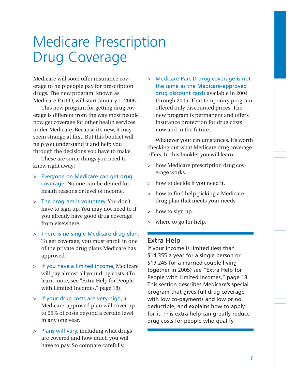# Medicare Prescription Drug Coverage

Medicare will soon offer insurance coverage to help people pay for prescription drugs. The new program, known as Medicare Part D, will start January 1, 2006.

This new program for getting drug coverage is different from the way most people now get coverage for other health services under Medicare. Because it's new, it may seem strange at first. But this booklet will help you understand it and help you through the decisions you have to make.

These are some things you need to know right away:

- > Everyone on Medicare can get drug coverage. No one can be denied for health reasons or level of income.
- > The program is voluntary. You don't have to sign up. You may not need to if you already have good drug coverage from elsewhere.
- > There is no single Medicare drug plan. To get coverage, you must enroll in one of the private drug plans Medicare has approved.
- > If you have a limited income, Medicare will pay almost all your drug costs. (To learn more, see "Extra Help for People with Limited Incomes," page 18).
- > If your drug costs are very high, a Medicare-approved plan will cover up to 95% of costs beyond a certain level in any one year.
- > Plans will vary, including what drugs are covered and how much you will have to pay. So compare carefully.

> Medicare Part D drug coverage is not the same as the Medicare-approved drug discount cards available in 2004 through 2005. That temporary program offered only discounted prices. The new program is permanent and offers insurance protection for drug costs now and in the future.

Whatever your circumstances, it's worth checking out what Medicare drug coverage offers. In this booklet you will learn:

- > how Medicare prescription drug coverage works.
- > how to decide if you need it.
- > how to find help picking a Medicare drug plan that meets your needs.
- > how to sign up.
- > where to go for help.

#### Extra Help

If your income is limited (less than \$14,355 a year for a single person or \$19,245 for a married couple living together in 2005) see "Extra Help for People with Limited Incomes," page 18. This section describes Medicare's special program that gives full drug coverage with low co-payments and low or no deductible, and explains how to apply for it. This extra help can greatly reduce drug costs for people who qualify.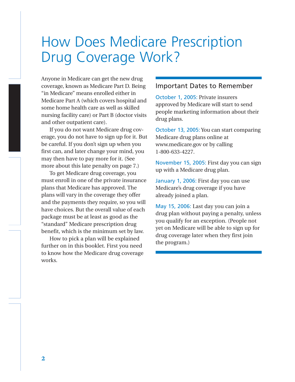## How Does Medicare Prescription Drug Coverage Work?

Anyone in Medicare can get the new drug coverage, known as Medicare Part D. Being "in Medicare" means enrolled either in Medicare Part A (which covers hospital and some home health care as well as skilled nursing facility care) or Part B (doctor visits and other outpatient care).

If you do not want Medicare drug coverage, you do not have to sign up for it. But be careful. If you don't sign up when you first can, and later change your mind, you may then have to pay more for it. (See more about this late penalty on page 7.)

To get Medicare drug coverage, you must enroll in one of the private insurance plans that Medicare has approved. The plans will vary in the coverage they offer and the payments they require, so you will have choices. But the overall value of each package must be at least as good as the "standard" Medicare prescription drug benefit, which is the minimum set by law.

How to pick a plan will be explained further on in this booklet. First you need to know how the Medicare drug coverage works.

#### Important Dates to Remember

October 1, 2005: Private insurers approved by Medicare will start to send people marketing information about their drug plans.

October 13, 2005: You can start comparing Medicare drug plans online at www.medicare.gov or by calling 1-800-633-4227.

November 15, 2005: First day you can sign up with a Medicare drug plan.

January 1, 2006: First day you can use Medicare's drug coverage if you have already joined a plan.

May 15, 2006: Last day you can join a drug plan without paying a penalty, unless you qualify for an exception. (People not yet on Medicare will be able to sign up for drug coverage later when they first join the program.)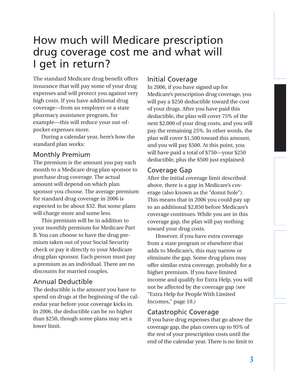### How much will Medicare prescription drug coverage cost me and what will I get in return?

The standard Medicare drug benefit offers insurance that will pay some of your drug expenses and will protect you against very high costs. If you have additional drug coverage—from an employer or a state pharmacy assistance program, for example—this will reduce your out-ofpocket expenses more.

During a calendar year, here's how the standard plan works:

#### Monthly Premium

The premium is the amount you pay each month to a Medicare drug plan sponsor to purchase drug coverage. The actual amount will depend on which plan sponsor you choose. The average premium for standard drug coverage in 2006 is expected to be about \$32. But some plans will charge more and some less.

This premium will be in addition to your monthly premium for Medicare Part B. You can choose to have the drug premium taken out of your Social Security check or pay it directly to your Medicare drug plan sponsor. Each person must pay a premium as an individual. There are no discounts for married couples.

#### Annual Deductible

The deductible is the amount you have to spend on drugs at the beginning of the calendar year before your coverage kicks in. In 2006, the deductible can be no higher than \$250, though some plans may set a lower limit.

#### Initial Coverage

In 2006, if you have signed up for Medicare's prescription drug coverage, you will pay a \$250 deductible toward the cost of your drugs. After you have paid this deductible, the plan will cover 75% of the next \$2,000 of your drug costs, and you will pay the remaining 25%. In other words, the plan will cover \$1,500 toward this amount, and you will pay \$500. At this point, you will have paid a total of \$750—your \$250 deductible, plus the \$500 just explained.

#### Coverage Gap

After the initial coverage limit described above, there is a gap in Medicare's coverage (also known as the "donut hole"). This means that in 2006 you could pay up to an additional \$2,850 before Medicare's coverage continues. While you are in this coverage gap, the plan will pay nothing toward your drug costs.

However, if you have extra coverage from a state program or elsewhere that adds to Medicare's, this may narrow or eliminate the gap. Some drug plans may offer similar extra coverage, probably for a higher premium. If you have limited income and qualify for Extra Help, you will not be affected by the coverage gap (see "Extra Help for People With Limited Incomes," page 18.)

#### Catastrophic Coverage

If you have drug expenses that go above the coverage gap, the plan covers up to 95% of the rest of your prescription costs until the end of the calendar year. There is no limit to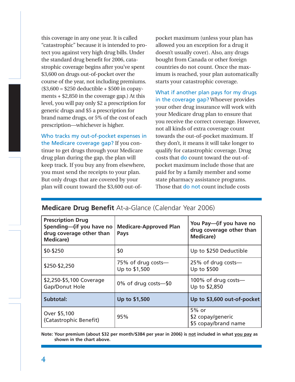this coverage in any one year. It is called "catastrophic" because it is intended to protect you against very high drug bills. Under the standard drug benefit for 2006, catastrophic coverage begins after you've spent \$3,600 on drugs out-of-pocket over the course of the year, not including premiums.  $($3,600 = $250$  deductible + \$500 in copayments + \$2,850 in the coverage gap.) At this level, you will pay only \$2 a prescription for generic drugs and \$5 a prescription for brand name drugs, or 5% of the cost of each prescription—whichever is higher.

Who tracks my out-of-pocket expenses in the Medicare coverage gap? If you continue to get drugs through your Medicare drug plan during the gap, the plan will keep track. If you buy any from elsewhere, you must send the receipts to your plan. But only drugs that are covered by your plan will count toward the \$3,600 out-ofpocket maximum (unless your plan has allowed you an exception for a drug it doesn't usually cover). Also, any drugs bought from Canada or other foreign countries do not count. Once the maximum is reached, your plan automatically starts your catastrophic coverage.

What if another plan pays for my drugs in the coverage gap? Whoever provides your other drug insurance will work with your Medicare drug plan to ensure that you receive the correct coverage. However, not all kinds of extra coverage count towards the out-of-pocket maximum. If they don't, it means it will take longer to qualify for catastrophic coverage. Drug costs that do count toward the out-ofpocket maximum include those that are paid for by a family member and some state pharmacy assistance programs. Those that do not count include costs

#### **Medicare Drug Benefit** At-a-Glance (Calendar Year 2006)

| <b>Prescription Drug</b><br>Spending-(if you have no<br>drug coverage other than<br><b>Medicare)</b> | <b>Medicare-Approved Plan</b><br>Pays | You Pay-(if you have no<br>drug coverage other than<br><b>Medicare)</b> |
|------------------------------------------------------------------------------------------------------|---------------------------------------|-------------------------------------------------------------------------|
| \$0-\$250                                                                                            | \$0                                   | Up to \$250 Deductible                                                  |
| \$250-\$2,250                                                                                        | 75% of drug costs-<br>Up to \$1,500   | 25% of drug costs-<br>Up to \$500                                       |
| \$2,250-\$5,100 Coverage<br>Gap/Donut Hole                                                           | $0\%$ of drug costs-\$0               | 100% of drug costs—<br>Up to \$2,850                                    |
| Subtotal:                                                                                            | Up to \$1,500                         | Up to \$3,600 out-of-pocket                                             |
| Over \$5,100<br>(Catastrophic Benefit)                                                               | 95%                                   | $5%$ or<br>\$2 copay/generic<br>\$5 copay/brand name                    |

**Note: Your premium (about \$32 per month/\$384 per year in 2006) is not included in what you pay as shown in the chart above.**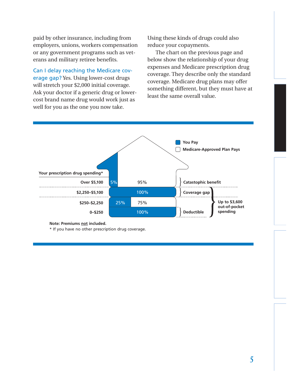paid by other insurance, including from employers, unions, workers compensation or any government programs such as veterans and military retiree benefits.

Can I delay reaching the Medicare coverage gap? Yes. Using lower-cost drugs will stretch your \$2,000 initial coverage. Ask your doctor if a generic drug or lowercost brand name drug would work just as well for you as the one you now take.

Using these kinds of drugs could also reduce your copayments.

The chart on the previous page and below show the relationship of your drug expenses and Medicare prescription drug coverage. They describe only the standard coverage. Medicare drug plans may offer something different, but they must have at least the same overall value.



**Note: Premiums not included.**

\* If you have no other prescription drug coverage.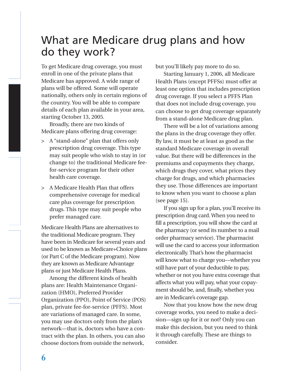### What are Medicare drug plans and how do they work?

To get Medicare drug coverage, you must enroll in one of the private plans that Medicare has approved. A wide range of plans will be offered. Some will operate nationally, others only in certain regions of the country. You will be able to compare details of each plan available in your area, starting October 13, 2005.

Broadly, there are two kinds of Medicare plans offering drug coverage:

- > A "stand-alone" plan that offers only prescription drug coverage. This type may suit people who wish to stay in (or change to) the traditional Medicare feefor-service program for their other health care coverage.
- > A Medicare Health Plan that offers comprehensive coverage for medical care plus coverage for prescription drugs. This type may suit people who prefer managed care.

Medicare Health Plans are alternatives to the traditional Medicare program. They have been in Medicare for several years and used to be known as Medicare+Choice plans (or Part C of the Medicare program). Now they are known as Medicare Advantage plans or just Medicare Health Plans.

Among the different kinds of health plans are: Health Maintenance Organization (HMO), Preferred Provider Organization (PPO), Point of Service (POS) plan, private fee-for-service (PFFS). Most are variations of managed care. In some, you may use doctors only from the plan's network—that is, doctors who have a contract with the plan. In others, you can also choose doctors from outside the network,

but you'll likely pay more to do so.

Starting January 1, 2006, all Medicare Health Plans (except PFFSs) must offer at least one option that includes prescription drug coverage. If you select a PFFS Plan that does not include drug coverage, you can choose to get drug coverage separately from a stand-alone Medicare drug plan.

There will be a lot of variations among the plans in the drug coverage they offer. By law, it must be at least as good as the standard Medicare coverage in overall value. But there will be differences in the premiums and copayments they charge, which drugs they cover, what prices they charge for drugs, and which pharmacies they use. Those differences are important to know when you want to choose a plan (see page 15).

If you sign up for a plan, you'll receive its prescription drug card. When you need to fill a prescription, you will show the card at the pharmacy (or send its number to a mail order pharmacy service). The pharmacist will use the card to access your information electronically. That's how the pharmacist will know what to charge you—whether you still have part of your deductible to pay, whether or not you have extra coverage that affects what you will pay, what your copayment should be, and, finally, whether you are in Medicare's coverage gap.

Now that you know how the new drug coverage works, you need to make a decision—sign up for it or not? Only you can make this decision, but you need to think it through carefully. These are things to consider.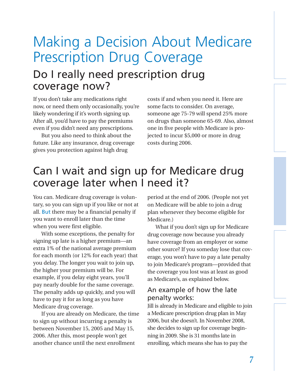# Making a Decision About Medicare Prescription Drug Coverage

### Do I really need prescription drug coverage now?

If you don't take any medications right now, or need them only occasionally, you're likely wondering if it's worth signing up. After all, you'd have to pay the premiums even if you didn't need any prescriptions.

But you also need to think about the future. Like any insurance, drug coverage gives you protection against high drug

costs if and when you need it. Here are some facts to consider. On average, someone age 75-79 will spend 25% more on drugs than someone 65-69. Also, almost one in five people with Medicare is projected to incur \$5,000 or more in drug costs during 2006.

### Can I wait and sign up for Medicare drug coverage later when I need it?

You can. Medicare drug coverage is voluntary, so you can sign up if you like or not at all. But there may be a financial penalty if you want to enroll later than the time when you were first eligible.

With some exceptions, the penalty for signing up late is a higher premium—an extra 1% of the national average premium for each month (or 12% for each year) that you delay. The longer you wait to join up, the higher your premium will be. For example, if you delay eight years, you'll pay nearly double for the same coverage. The penalty adds up quickly, and you will have to pay it for as long as you have Medicare drug coverage.

If you are already on Medicare, the time to sign up without incurring a penalty is between November 15, 2005 and May 15, 2006. After this, most people won't get another chance until the next enrollment

period at the end of 2006. (People not yet on Medicare will be able to join a drug plan whenever they become eligible for Medicare.)

What if you don't sign up for Medicare drug coverage now because you already have coverage from an employer or some other source? If you someday lose that coverage, you won't have to pay a late penalty to join Medicare's program—provided that the coverage you lost was at least as good as Medicare's, as explained below.

#### An example of how the late penalty works:

Jill is already in Medicare and eligible to join a Medicare prescription drug plan in May 2006, but she doesn't. In November 2008, she decides to sign up for coverage beginning in 2009. She is 31 months late in enrolling, which means she has to pay the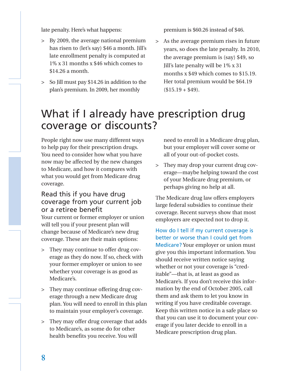late penalty. Here's what happens:

- > By 2009, the average national premium has risen to (let's say) \$46 a month. Jill's late enrollment penalty is computed at 1% x 31 months x \$46 which comes to \$14.26 a month.
- > So Jill must pay \$14.26 in addition to the plan's premium. In 2009, her monthly

premium is \$60.26 instead of \$46.

> As the average premium rises in future years, so does the late penalty. In 2010, the average premium is (say) \$49, so Jill's late penalty will be 1% x 31 months x \$49 which comes to \$15.19. Her total premium would be \$64.19  $($15.19 + $49).$ 

### What if I already have prescription drug coverage or discounts?

People right now use many different ways to help pay for their prescription drugs. You need to consider how what you have now may be affected by the new changes to Medicare, and how it compares with what you would get from Medicare drug coverage.

#### Read this if you have drug coverage from your current job or a retiree benefit

Your current or former employer or union will tell you if your present plan will change because of Medicare's new drug coverage. These are their main options:

- > They may continue to offer drug coverage as they do now. If so, check with your former employer or union to see whether your coverage is as good as Medicare's.
- > They may continue offering drug coverage through a new Medicare drug plan. You will need to enroll in this plan to maintain your employer's coverage.
- > They may offer drug coverage that adds to Medicare's, as some do for other health benefits you receive. You will

need to enroll in a Medicare drug plan, but your employer will cover some or all of your out-of-pocket costs.

> They may drop your current drug coverage—maybe helping toward the cost of your Medicare drug premium, or perhaps giving no help at all.

The Medicare drug law offers employers large federal subsidies to continue their coverage. Recent surveys show that most employers are expected not to drop it.

How do I tell if my current coverage is better or worse than I could get from Medicare? Your employer or union must give you this important information. You should receive written notice saying whether or not your coverage is "creditable"—that is, at least as good as Medicare's. If you don't receive this information by the end of October 2005, call them and ask them to let you know in writing if you have creditable coverage. Keep this written notice in a safe place so that you can use it to document your coverage if you later decide to enroll in a Medicare prescription drug plan.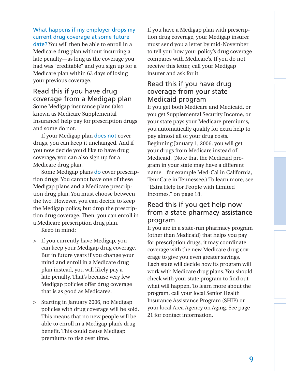What happens if my employer drops my current drug coverage at some future date? You will then be able to enroll in a Medicare drug plan without incurring a late penalty—as long as the coverage you had was "creditable" and you sign up for a Medicare plan within 63 days of losing your previous coverage.

#### Read this if you have drug coverage from a Medigap plan

Some Medigap insurance plans (also known as Medicare Supplemental Insurance) help pay for prescription drugs and some do not.

If your Medigap plan does not cover drugs, you can keep it unchanged. And if you now decide you'd like to have drug coverage, you can also sign up for a Medicare drug plan.

Some Medigap plans do cover prescription drugs. You cannot have one of these Medigap plans and a Medicare prescription drug plan. You must choose between the two. However, you can decide to keep the Medigap policy, but drop the prescription drug coverage. Then, you can enroll in a Medicare prescription drug plan.

Keep in mind:

- > If you currently have Medigap, you can keep your Medigap drug coverage. But in future years if you change your mind and enroll in a Medicare drug plan instead, you will likely pay a late penalty. That's because very few Medigap policies offer drug coverage that is as good as Medicare's.
- > Starting in January 2006, no Medigap policies with drug coverage will be sold. This means that no new people will be able to enroll in a Medigap plan's drug benefit. This could cause Medigap premiums to rise over time.

If you have a Medigap plan with prescription drug coverage, your Medigap insurer must send you a letter by mid-November to tell you how your policy's drug coverage compares with Medicare's. If you do not receive this letter, call your Medigap insurer and ask for it.

#### Read this if you have drug coverage from your state Medicaid program

If you get both Medicare and Medicaid, or you get Supplemental Security Income, or your state pays your Medicare premiums, you automatically qualify for extra help to pay almost all of your drug costs. Beginning January 1, 2006, you will get your drugs from Medicare instead of Medicaid. (Note that the Medicaid program in your state may have a different name—for example Med-Cal in California, TennCare in Tennessee.) To learn more, see "Extra Help for People with Limited Incomes," on page 18.

#### Read this if you get help now from a state pharmacy assistance program

If you are in a state-run pharmacy program (other than Medicaid) that helps you pay for prescription drugs, it may coordinate coverage with the new Medicare drug coverage to give you even greater savings. Each state will decide how its program will work with Medicare drug plans. You should check with your state program to find out what will happen. To learn more about the program, call your local Senior Health Insurance Assistance Program (SHIP) or your local Area Agency on Aging. See page 21 for contact information.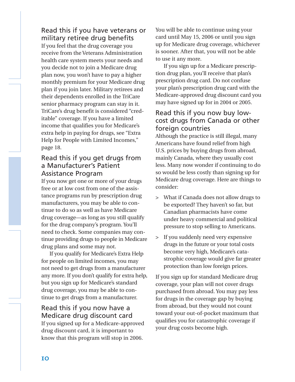Read this if you have veterans or military retiree drug benefits

If you feel that the drug coverage you receive from the Veterans Administration health care system meets your needs and you decide not to join a Medicare drug plan now, you won't have to pay a higher monthly premium for your Medicare drug plan if you join later. Military retirees and their dependents enrolled in the TriCare senior pharmacy program can stay in it. TriCare's drug benefit is considered "creditable" coverage. If you have a limited income that qualifies you for Medicare's extra help in paying for drugs, see "Extra Help for People with Limited Incomes," page 18.

#### Read this if you get drugs from a Manufacturer's Patient Assistance Program

If you now get one or more of your drugs free or at low cost from one of the assistance programs run by prescription drug manufacturers, you may be able to continue to do so as well as have Medicare drug coverage—as long as you still qualify for the drug company's program. You'll need to check. Some companies may continue providing drugs to people in Medicare drug plans and some may not.

If you qualify for Medicare's Extra Help for people on limited incomes, you may not need to get drugs from a manufacturer any more. If you don't qualify for extra help, but you sign up for Medicare's standard drug coverage, you may be able to continue to get drugs from a manufacturer.

#### Read this if you now have a Medicare drug discount card

If you signed up for a Medicare-approved drug discount card, it is important to know that this program will stop in 2006.

You will be able to continue using your card until May 15, 2006 or until you sign up for Medicare drug coverage, whichever is sooner. After that, you will not be able to use it any more.

If you sign up for a Medicare prescription drug plan, you'll receive that plan's prescription drug card. Do not confuse your plan's prescription drug card with the Medicare-approved drug discount card you may have signed up for in 2004 or 2005.

#### Read this if you now buy lowcost drugs from Canada or other foreign countries

Although the practice is still illegal, many Americans have found relief from high U.S. prices by buying drugs from abroad, mainly Canada, where they usually cost less. Many now wonder if continuing to do so would be less costly than signing up for Medicare drug coverage. Here are things to consider:

- > What if Canada does not allow drugs to be exported? They haven't so far, but Canadian pharmacists have come under heavy commercial and political pressure to stop selling to Americans.
- > If you suddenly need very expensive drugs in the future or your total costs become very high, Medicare's catastrophic coverage would give far greater protection than low foreign prices.

If you sign up for standard Medicare drug coverage, your plan will not cover drugs purchased from abroad. You may pay less for drugs in the coverage gap by buying from abroad, but they would not count toward your out-of-pocket maximum that qualifies you for catastrophic coverage if your drug costs become high.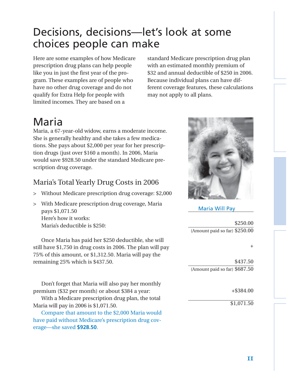### Decisions, decisions—let's look at some choices people can make

Here are some examples of how Medicare prescription drug plans can help people like you in just the first year of the program. These examples are of people who have no other drug coverage and do not qualify for Extra Help for people with limited incomes. They are based on a

standard Medicare prescription drug plan with an estimated monthly premium of \$32 and annual deductible of \$250 in 2006. Because individual plans can have different coverage features, these calculations may not apply to all plans.

### Maria

Maria, a 67-year-old widow, earns a moderate income. She is generally healthy and she takes a few medications. She pays about \$2,000 per year for her prescription drugs (just over \$160 a month). In 2006, Maria would save \$928.50 under the standard Medicare prescription drug coverage.

#### Maria's Total Yearly Drug Costs in 2006

- > Without Medicare prescription drug coverage: \$2,000
- > With Medicare prescription drug coverage, Maria pays \$1,071.50 Here's how it works: Maria's deductible is \$250:

Once Maria has paid her \$250 deductible, she will still have \$1,750 in drug costs in 2006. The plan will pay 75% of this amount, or \$1,312.50. Maria will pay the remaining 25% which is \$437.50.

Don't forget that Maria will also pay her monthly premium (\$32 per month) or about \$384 a year:

With a Medicare prescription drug plan, the total Maria will pay in 2006 is \$1,071.50.

Compare that amount to the \$2,000 Maria would have paid without Medicare's prescription drug coverage—she saved **\$928.50**.



Maria Will Pay

\$250.00 (Amount paid so far) \$250.00

+

\$437.50 (Amount paid so far) \$687.50

+\$384.00

\$1,071.50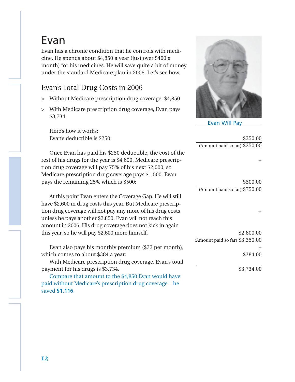### Evan

Evan has a chronic condition that he controls with medicine. He spends about \$4,850 a year (just over \$400 a month) for his medicines. He will save quite a bit of money under the standard Medicare plan in 2006. Let's see how.

#### Evan's Total Drug Costs in 2006

- > Without Medicare prescription drug coverage: \$4,850
- > With Medicare prescription drug coverage, Evan pays \$3,734.

Here's how it works: Evan's deductible is \$250:

Once Evan has paid his \$250 deductible, the cost of the rest of his drugs for the year is \$4,600. Medicare prescription drug coverage will pay 75% of his next \$2,000, so Medicare prescription drug coverage pays \$1,500. Evan pays the remaining 25% which is \$500:

At this point Evan enters the Coverage Gap. He will still have \$2,600 in drug costs this year. But Medicare prescription drug coverage will not pay any more of his drug costs unless he pays another \$2,850. Evan will not reach this amount in 2006. His drug coverage does not kick in again this year, so he will pay \$2,600 more himself.

Evan also pays his monthly premium (\$32 per month), which comes to about \$384 a year:

With Medicare prescription drug coverage, Evan's total payment for his drugs is \$3,734.

Compare that amount to the \$4,850 Evan would have paid without Medicare's prescription drug coverage—he saved **\$1,116**.



Evan Will Pay

\$250.00 (Amount paid so far) \$250.00

+

\$500.00 (Amount paid so far) \$750.00

+

\$2,600.00 (Amount paid so far) \$3,350.00 + \$384.00

\$3,734.00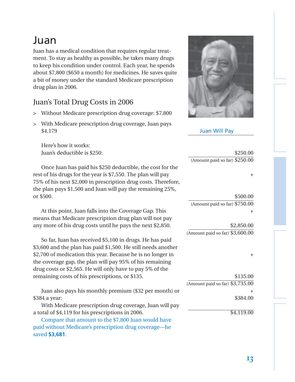#### **13**

### Juan

Juan has a medical condition that requires regular treatment. To stay as healthy as possible, he takes many drugs to keep his condition under control. Each year, he spends about \$7,800 (\$650 a month) for medicines. He saves quite a bit of money under the standard Medicare prescription drug plan in 2006.

#### Juan's Total Drug Costs in 2006

- > Without Medicare prescription drug coverage: \$7,800
- > With Medicare prescription drug coverage, Juan pays \$4,179

Here's how it works: Juan's deductible is \$250:

Once Juan has paid his \$250 deductible, the cost for the rest of his drugs for the year is \$7,550. The plan will pay 75% of his next \$2,000 in prescription drug costs. Therefore, the plan pays \$1,500 and Juan will pay the remaining 25%, or \$500.

At this point, Juan falls into the Coverage Gap. This means that Medicare prescription drug plan will not pay any more of his drug costs until he pays the next \$2,850.

So far, Juan has received \$5,100 in drugs. He has paid \$3,600 and the plan has paid \$1,500. He still needs another \$2,700 of medication this year. Because he is no longer in the coverage gap, the plan will pay 95% of his remaining drug costs or \$2,565. He will only have to pay 5% of the remaining costs of his prescriptions, or \$135.

Juan also pays his monthly premium (\$32 per month) or \$384 a year:

With Medicare prescription drug coverage, Juan will pay a total of \$4,119 for his prescriptions in 2006.

Compare that amount to the \$7,800 Juan would have paid without Medicare's prescription drug coverage—he saved **\$3,681**.



Juan Will Pay

\$250.00 (Amount paid so far) \$250.00 +

\$500.00

(Amount paid so far) \$750.00 +

\$2,850.00 (Amount paid so far) \$3,600.00

+

\$135.00 (Amount paid so far) \$3,735.00 + \$384.00

 $\overline{$4,119.00}$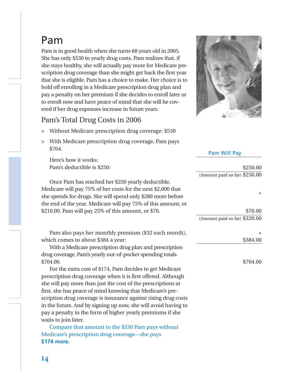### Pam

Pam is in good health when she turns 68 years old in 2005. She has only \$530 in yearly drug costs. Pam realizes that, if she stays healthy, she will actually pay more for Medicare prescription drug coverage than she might get back the first year that she is eligible. Pam has a choice to make. Her choice is to hold off enrolling in a Medicare prescription drug plan and pay a penalty on her premium if she decides to enroll later or to enroll now and have peace of mind that she will be covered if her drug expenses increase in future years.

#### Pam's Total Drug Costs in 2006

- > Without Medicare prescription drug coverage: \$530
- > With Medicare prescription drug coverage, Pam pays \$704.

Here's how it works: Pam's deductible is \$250:

Once Pam has reached her \$250 yearly deductible, Medicare will pay 75% of her costs for the next \$2,000 that she spends for drugs. She will spend only \$280 more before the end of the year. Medicare will pay 75% of this amount, \$210.00. Pam will pay 25% of this amount, or \$70.

Pam also pays her monthly premium (\$32 each month) which comes to about \$384 a year:

With a Medicare prescription drug plan and prescription drug coverage, Pam's yearly out-of-pocket spending totals \$704.00.

For the extra cost of \$174, Pam decides to get Medicare prescription drug coverage when it is first offered. Although she will pay more than just the cost of the prescriptions at first, she has peace of mind knowing that Medicare's prescription drug coverage is insurance against rising drug costs. in the future. And by signing up now, she will avoid having pay a penalty in the form of higher yearly premiums if she waits to join later.

Compare that amount to the \$530 Pam pays without Medicare's prescription drug coverage—she pays **\$174 more.**



|                   | Pam Will Pay                              |
|-------------------|-------------------------------------------|
|                   | \$250.00<br>(Amount paid so far) \$250.00 |
| t<br>re           | $^+$                                      |
| , or              | \$70.00<br>(Amount paid so far) \$320.00  |
| th),<br>n         | +<br>\$384.00                             |
| e<br>зh           | \$704.00                                  |
| t<br>osts<br>g to |                                           |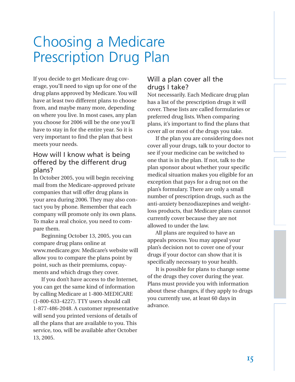# Choosing a Medicare Prescription Drug Plan

If you decide to get Medicare drug coverage, you'll need to sign up for one of the drug plans approved by Medicare. You will have at least two different plans to choose from, and maybe many more, depending on where you live. In most cases, any plan you choose for 2006 will be the one you'll have to stay in for the entire year. So it is very important to find the plan that best meets your needs.

#### How will I know what is being offered by the different drug plans?

In October 2005, you will begin receiving mail from the Medicare-approved private companies that will offer drug plans in your area during 2006. They may also contact you by phone. Remember that each company will promote only its own plans. To make a real choice, you need to compare them.

Beginning October 13, 2005, you can compare drug plans online at www.medicare.gov. Medicare's website will allow you to compare the plans point by point, such as their premiums, copayments and which drugs they cover.

If you don't have access to the Internet, you can get the same kind of information by calling Medicare at 1-800-MEDICARE (1-800-633-4227). TTY users should call 1-877-486-2048. A customer representative will send you printed versions of details of all the plans that are available to you. This service, too, will be available after October 13, 2005.

#### Will a plan cover all the drugs I take?

Not necessarily. Each Medicare drug plan has a list of the prescription drugs it will cover. These lists are called formularies or preferred drug lists. When comparing plans, it's important to find the plans that cover all or most of the drugs you take.

If the plan you are considering does not cover all your drugs, talk to your doctor to see if your medicine can be switched to one that is in the plan. If not, talk to the plan sponsor about whether your specific medical situation makes you eligible for an exception that pays for a drug not on the plan's formulary. There are only a small number of prescription drugs, such as the anti-anxiety benzodiazepines and weightloss products, that Medicare plans cannot currently cover because they are not allowed to under the law.

All plans are required to have an appeals process. You may appeal your plan's decision not to cover one of your drugs if your doctor can show that it is specifically necessary to your health.

It is possible for plans to change some of the drugs they cover during the year. Plans must provide you with information about these changes, if they apply to drugs you currently use, at least 60 days in advance.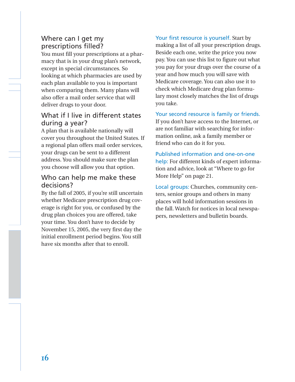#### Where can I get my prescriptions filled?

You must fill your prescriptions at a pharmacy that is in your drug plan's network, except in special circumstances. So looking at which pharmacies are used by each plan available to you is important when comparing them. Many plans will also offer a mail order service that will deliver drugs to your door.

#### What if I live in different states during a year?

A plan that is available nationally will cover you throughout the United States. If a regional plan offers mail order services, your drugs can be sent to a different address. You should make sure the plan you choose will allow you that option.

#### Who can help me make these decisions?

By the fall of 2005, if you're still uncertain whether Medicare prescription drug coverage is right for you, or confused by the drug plan choices you are offered, take your time. You don't have to decide by November 15, 2005, the very first day the initial enrollment period begins. You still have six months after that to enroll.

Your first resource is yourself. Start by making a list of all your prescription drugs. Beside each one, write the price you now pay. You can use this list to figure out what you pay for your drugs over the course of a year and how much you will save with Medicare coverage. You can also use it to check which Medicare drug plan formulary most closely matches the list of drugs you take.

Your second resource is family or friends. If you don't have access to the Internet, or are not familiar with searching for information online, ask a family member or friend who can do it for you.

Published information and one-on-one help: For different kinds of expert information and advice, look at "Where to go for More Help" on page 21.

Local groups: Churches, community centers, senior groups and others in many places will hold information sessions in the fall. Watch for notices in local newspapers, newsletters and bulletin boards.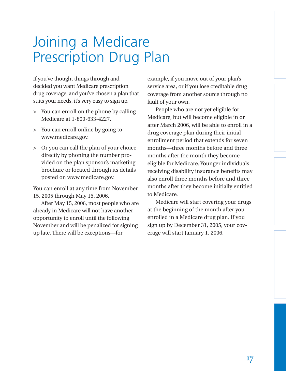# Joining a Medicare Prescription Drug Plan

If you've thought things through and decided you want Medicare prescription drug coverage, and you've chosen a plan that suits your needs, it's very easy to sign up.

- > You can enroll on the phone by calling Medicare at 1-800-633-4227.
- > You can enroll online by going to www.medicare.gov.
- > Or you can call the plan of your choice directly by phoning the number provided on the plan sponsor's marketing brochure or located through its details posted on www.medicare.gov.

You can enroll at any time from November 15, 2005 through May 15, 2006.

After May 15, 2006, most people who are already in Medicare will not have another opportunity to enroll until the following November and will be penalized for signing up late. There will be exceptions—for

example, if you move out of your plan's service area, or if you lose creditable drug coverage from another source through no fault of your own.

People who are not yet eligible for Medicare, but will become eligible in or after March 2006, will be able to enroll in a drug coverage plan during their initial enrollment period that extends for seven months—three months before and three months after the month they become eligible for Medicare. Younger individuals receiving disability insurance benefits may also enroll three months before and three months after they become initially entitled to Medicare.

Medicare will start covering your drugs at the beginning of the month after you enrolled in a Medicare drug plan. If you sign up by December 31, 2005, your coverage will start January 1, 2006.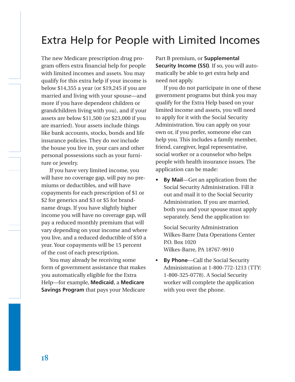### Extra Help for People with Limited Incomes

The new Medicare prescription drug program offers extra financial help for people with limited incomes and assets. You may qualify for this extra help if your income is below \$14,355 a year (or \$19,245 if you are married and living with your spouse—and more if you have dependent children or grandchildren living with you), and if your assets are below \$11,500 (or \$23,000 if you are married). Your assets include things like bank accounts, stocks, bonds and life insurance policies. They do *not* include the house you live in, your cars and other personal possessions such as your furniture or jewelry.

If you have very limited income, you will have no coverage gap, will pay no premiums or deductibles, and will have copayments for each prescription of \$1 or \$2 for generics and \$3 or \$5 for brandname drugs. If you have slightly higher income you will have no coverage gap, will pay a reduced monthly premium that will vary depending on your income and where you live, and a reduced deductible of \$50 a year. Your copayments will be 15 percent of the cost of each prescription.

You may already be receiving some form of government assistance that makes you automatically eligible for the Extra Help—for example, **Medicaid**, a **Medicare Savings Program** that pays your Medicare Part B premium, or **Supplemental Security Income (SSI)**. If so, you will automatically be able to get extra help and need not apply.

If you do not participate in one of these government programs but think you may qualify for the Extra Help based on your limited income and assets, you will need to apply for it with the Social Security Administration. You can apply on your own or, if you prefer, someone else can help you. This includes a family member, friend, caregiver, legal representative, social worker or a counselor who helps people with health insurance issues. The application can be made:

**• By Mail**—Get an application from the Social Security Administration. Fill it out and mail it to the Social Security Administration. If you are married, both you and your spouse must apply separately. Send the application to:

Social Security Administration Wilkes-Barre Data Operations Center P.O. Box 1020 Wilkes-Barre, PA 18767-9910

• **By Phone**—Call the Social Security Administration at 1-800-772-1213 (TTY: 1-800-325-0778). A Social Security worker will complete the application with you over the phone.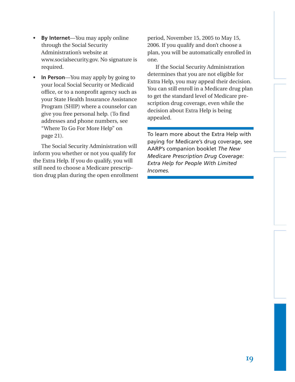- **By Internet**—You may apply online through the Social Security Administration's website at www.socialsecurity.gov. No signature is required.
- **In Person**—You may apply by going to your local Social Security or Medicaid office, or to a nonprofit agency such as your State Health Insurance Assistance Program (SHIP) where a counselor can give you free personal help. (To find addresses and phone numbers, see "Where To Go For More Help" on page 21).

The Social Security Administration will inform you whether or not you qualify for the Extra Help. If you do qualify, you will still need to choose a Medicare prescription drug plan during the open enrollment

period, November 15, 2005 to May 15, 2006. If you qualify and don't choose a plan, you will be automatically enrolled in one.

If the Social Security Administration determines that you are not eligible for Extra Help, you may appeal their decision. You can still enroll in a Medicare drug plan to get the standard level of Medicare prescription drug coverage, even while the decision about Extra Help is being appealed.

To learn more about the Extra Help with paying for Medicare's drug coverage, see AARP's companion booklet *The New Medicare Prescription Drug Coverage: Extra Help for People With Limited Incomes.*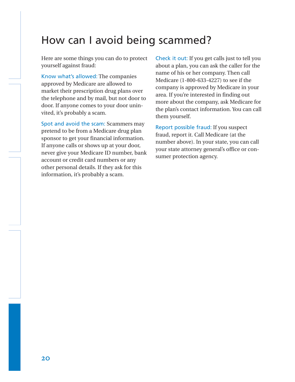### How can I avoid being scammed?

Here are some things you can do to protect yourself against fraud:

Know what's allowed: The companies approved by Medicare are allowed to market their prescription drug plans over the telephone and by mail, but not door to door. If anyone comes to your door uninvited, it's probably a scam.

Spot and avoid the scam: Scammers may pretend to be from a Medicare drug plan sponsor to get your financial information. If anyone calls or shows up at your door, never give your Medicare ID number, bank account or credit card numbers or any other personal details. If they ask for this information, it's probably a scam.

Check it out: If you get calls just to tell you about a plan, you can ask the caller for the name of his or her company. Then call Medicare (1-800-633-4227) to see if the company is approved by Medicare in your area. If you're interested in finding out more about the company, ask Medicare for the plan's contact information. You can call them yourself.

Report possible fraud: If you suspect fraud, report it. Call Medicare (at the number above). In your state, you can call your state attorney general's office or consumer protection agency.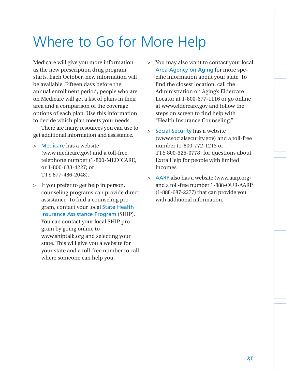# Where to Go for More Help

Medicare will give you more information as the new prescription drug program starts. Each October, new information will be available. Fifteen days before the annual enrollment period, people who are on Medicare will get a list of plans in their area and a comparison of the coverage options of each plan. Use this information to decide which plan meets your needs.

There are many resources you can use to get additional information and assistance.

- > Medicare has a website (www.medicare.gov) and a toll-free telephone number (1-800-MEDICARE, or 1-800-633-4227; or TTY 877-486-2048).
- > If you prefer to get help in person, counseling programs can provide direct assistance. To find a counseling program, contact your local State Health Insurance Assistance Program (SHIP). You can contact your local SHIP program by going online to www.shiptalk.org and selecting your state. This will give you a website for your state and a toll-free number to call where someone can help you.
- > You may also want to contact your local Area Agency on Aging for more specific information about your state. To find the closest location, call the Administration on Aging's Eldercare Locator at 1-800-677-1116 or go online at www.eldercare.gov and follow the steps on screen to find help with "Health Insurance Counseling."
- > Social Security has a website (www.socialsecurity.gov) and a toll-free number (1-800-772-1213 or TTY 800-325-0778) for questions about Extra Help for people with limited incomes.
- > AARP also has a website (www.aarp.org) and a toll-free number 1-888-OUR-AARP (1-888-687-2277) that can provide you with additional information.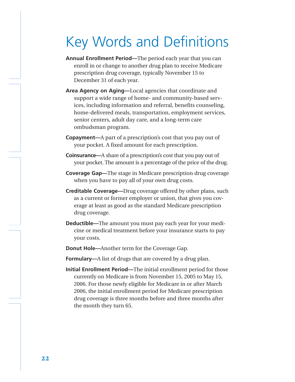# Key Words and Definitions

- **Annual Enrollment Period—**The period each year that you can enroll in or change to another drug plan to receive Medicare prescription drug coverage, typically November 15 to December 31 of each year.
- **Area Agency on Aging—**Local agencies that coordinate and support a wide range of home- and community-based services, including information and referral, benefits counseling, home-delivered meals, transportation, employment services, senior centers, adult day care, and a long-term care ombudsman program.
- **Copayment—**A part of a prescription's cost that you pay out of your pocket. A fixed amount for each prescription.
- **Coinsurance—**A share of a prescription's cost that you pay out of your pocket. The amount is a percentage of the price of the drug.
- **Coverage Gap—**The stage in Medicare prescription drug coverage when you have to pay all of your own drug costs.
- **Creditable Coverage—**Drug coverage offered by other plans, such as a current or former employer or union, that gives you coverage at least as good as the standard Medicare prescription drug coverage.
- **Deductible—**The amount you must pay each year for your medicine or medical treatment before your insurance starts to pay your costs.
- **Donut Hole—**Another term for the Coverage Gap.
- **Formulary—**A list of drugs that are covered by a drug plan.
- **Initial Enrollment Period—**The initial enrollment period for those currently on Medicare is from November 15, 2005 to May 15, 2006. For those newly eligible for Medicare in or after March 2006, the initial enrollment period for Medicare prescription drug coverage is three months before and three months after the month they turn 65.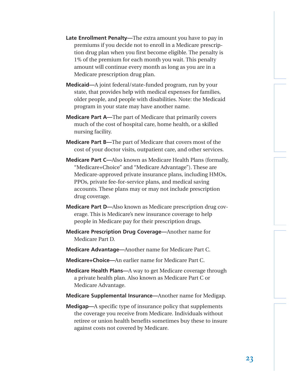- **Late Enrollment Penalty—**The extra amount you have to pay in premiums if you decide not to enroll in a Medicare prescription drug plan when you first become eligible. The penalty is 1% of the premium for each month you wait. This penalty amount will continue every month as long as you are in a Medicare prescription drug plan.
- **Medicaid—**A joint federal/state-funded program, run by your state, that provides help with medical expenses for families, older people, and people with disabilities. Note: the Medicaid program in your state may have another name.
- **Medicare Part A—**The part of Medicare that primarily covers much of the cost of hospital care, home health, or a skilled nursing facility.
- **Medicare Part B—**The part of Medicare that covers most of the cost of your doctor visits, outpatient care, and other services.
- **Medicare Part C—**Also known as Medicare Health Plans (formally, "Medicare+Choice" and "Medicare Advantage"). These are Medicare-approved private insurance plans, including HMOs, PPOs, private fee-for-service plans, and medical saving accounts. These plans may or may not include prescription drug coverage.
- **Medicare Part D—**Also known as Medicare prescription drug coverage. This is Medicare's new insurance coverage to help people in Medicare pay for their prescription drugs.
- **Medicare Prescription Drug Coverage—**Another name for Medicare Part D.
- **Medicare Advantage—**Another name for Medicare Part C.
- **Medicare+Choice—**An earlier name for Medicare Part C.
- **Medicare Health Plans—**A way to get Medicare coverage through a private health plan. Also known as Medicare Part C or Medicare Advantage.
- **Medicare Supplemental Insurance—**Another name for Medigap.
- **Medigap—**A specific type of insurance policy that supplements the coverage you receive from Medicare. Individuals without retiree or union health benefits sometimes buy these to insure against costs not covered by Medicare.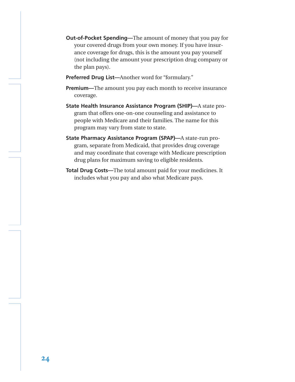- **Out-of-Pocket Spending—**The amount of money that you pay for your covered drugs from your own money. If you have insurance coverage for drugs, this is the amount you pay yourself (not including the amount your prescription drug company or the plan pays).
- **Preferred Drug List—**Another word for "formulary."
- **Premium—**The amount you pay each month to receive insurance coverage.
- **State Health Insurance Assistance Program (SHIP)—**A state program that offers one-on-one counseling and assistance to people with Medicare and their families. The name for this program may vary from state to state.
- **State Pharmacy Assistance Program (SPAP)—**A state-run program, separate from Medicaid, that provides drug coverage and may coordinate that coverage with Medicare prescription drug plans for maximum saving to eligible residents.
- **Total Drug Costs—**The total amount paid for your medicines. It includes what you pay and also what Medicare pays.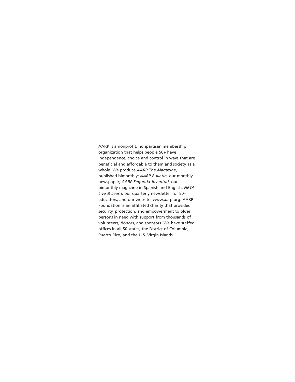AARP is a nonprofit, nonpartisan membership organization that helps people 50+ have independence, choice and control in ways that are beneficial and affordable to them and society as a whole. We produce *AARP The Magazine*, published bimonthly; *AARP Bulletin*, our monthly newspaper; *AARP Segunda Juventud*, our bimonthly magazine in Spanish and English; *NRTA Live & Learn*, our quarterly newsletter for 50+ educators; and our website, www.aarp.org. AARP Foundation is an affiliated charity that provides security, protection, and empowerment to older persons in need with support from thousands of volunteers, donors, and sponsors. We have staffed offices in all 50 states, the District of Columbia, Puerto Rico, and the U.S. Virgin Islands.